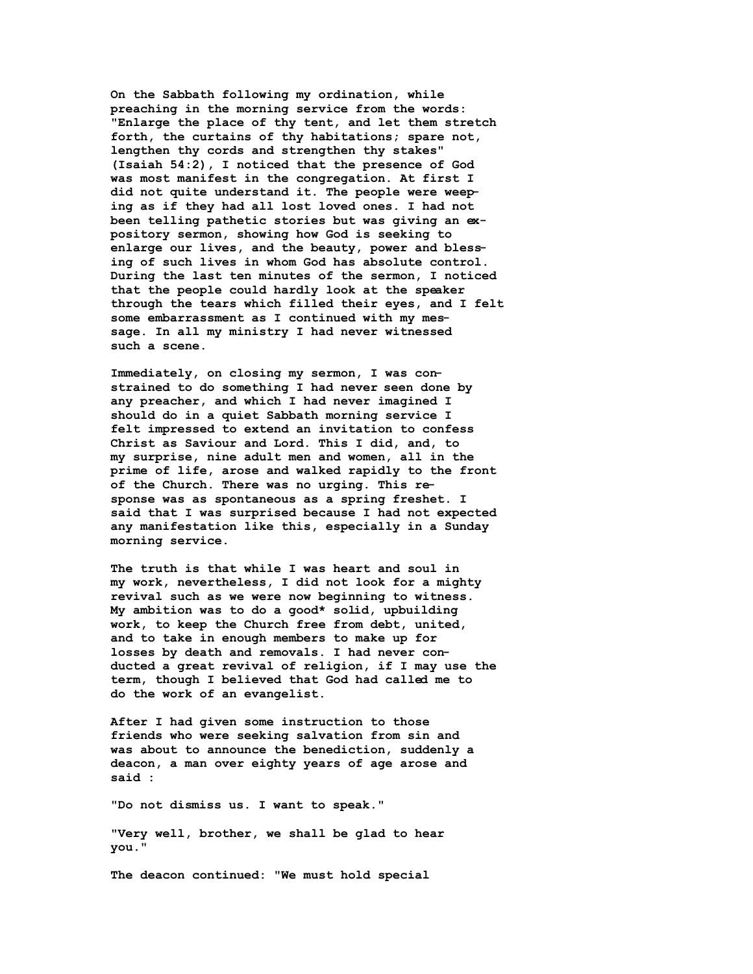**On the Sabbath following my ordination, while preaching in the morning service from the words: "Enlarge the place of thy tent, and let them stretch forth, the curtains of thy habitations; spare not, lengthen thy cords and strengthen thy stakes" (Isaiah 54:2), I noticed that the presence of God was most manifest in the congregation. At first I did not quite understand it. The people were weeping as if they had all lost loved ones. I had not been telling pathetic stories but was giving an expository sermon, showing how God is seeking to enlarge our lives, and the beauty, power and blessing of such lives in whom God has absolute control. During the last ten minutes of the sermon, I noticed that the people could hardly look at the speaker through the tears which filled their eyes, and I felt some embarrassment as I continued with my message. In all my ministry I had never witnessed such a scene.** 

**Immediately, on closing my sermon, I was constrained to do something I had never seen done by any preacher, and which I had never imagined I should do in a quiet Sabbath morning service I felt impressed to extend an invitation to confess Christ as Saviour and Lord. This I did, and, to my surprise, nine adult men and women, all in the prime of life, arose and walked rapidly to the front of the Church. There was no urging. This response was as spontaneous as a spring freshet. I said that I was surprised because I had not expected any manifestation like this, especially in a Sunday morning service.** 

**The truth is that while I was heart and soul in my work, nevertheless, I did not look for a mighty revival such as we were now beginning to witness. My ambition was to do a good\* solid, upbuilding work, to keep the Church free from debt, united, and to take in enough members to make up for losses by death and removals. I had never conducted a great revival of religion, if I may use the term, though I believed that God had called me to do the work of an evangelist.** 

**After I had given some instruction to those friends who were seeking salvation from sin and was about to announce the benediction, suddenly a deacon, a man over eighty years of age arose and said :** 

**"Do not dismiss us. I want to speak."** 

**"Very well, brother, we shall be glad to hear you."** 

**The deacon continued: "We must hold special**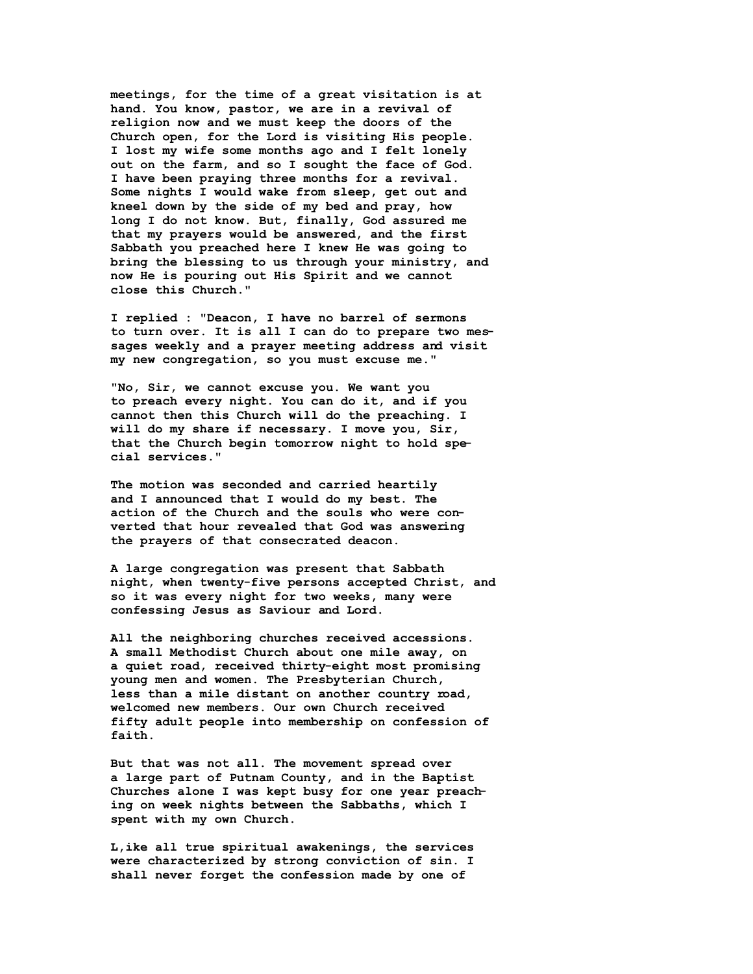**meetings, for the time of a great visitation is at hand. You know, pastor, we are in a revival of religion now and we must keep the doors of the Church open, for the Lord is visiting His people. I lost my wife some months ago and I felt lonely out on the farm, and so I sought the face of God. I have been praying three months for a revival. Some nights I would wake from sleep, get out and kneel down by the side of my bed and pray, how long I do not know. But, finally, God assured me that my prayers would be answered, and the first Sabbath you preached here I knew He was going to bring the blessing to us through your ministry, and now He is pouring out His Spirit and we cannot close this Church."** 

**I replied : "Deacon, I have no barrel of sermons to turn over. It is all I can do to prepare two messages weekly and a prayer meeting address and visit my new congregation, so you must excuse me."** 

**"No, Sir, we cannot excuse you. We want you to preach every night. You can do it, and if you cannot then this Church will do the preaching. I will do my share if necessary. I move you, Sir, that the Church begin tomorrow night to hold special services."** 

**The motion was seconded and carried heartily and I announced that I would do my best. The action of the Church and the souls who were converted that hour revealed that God was answering the prayers of that consecrated deacon.** 

**A large congregation was present that Sabbath night, when twenty-five persons accepted Christ, and so it was every night for two weeks, many were confessing Jesus as Saviour and Lord.** 

**All the neighboring churches received accessions. A small Methodist Church about one mile away, on a quiet road, received thirty-eight most promising young men and women. The Presbyterian Church, less than a mile distant on another country road, welcomed new members. Our own Church received fifty adult people into membership on confession of faith.** 

**But that was not all. The movement spread over a large part of Putnam County, and in the Baptist Churches alone I was kept busy for one year preaching on week nights between the Sabbaths, which I spent with my own Church.** 

**L,ike all true spiritual awakenings, the services were characterized by strong conviction of sin. I shall never forget the confession made by one of**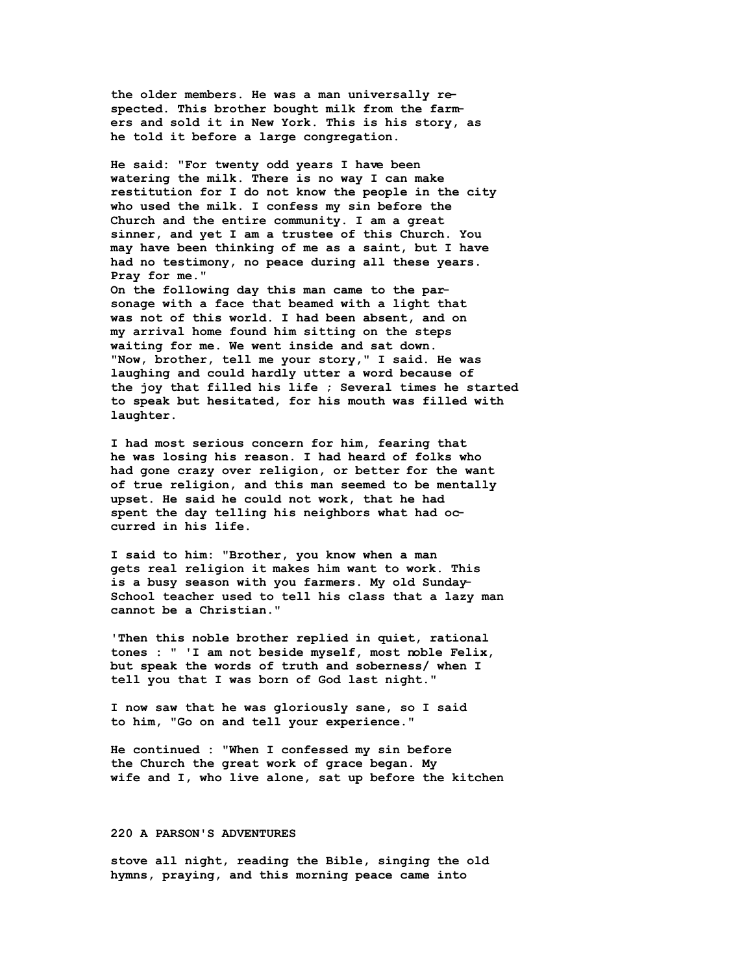**the older members. He was a man universally respected. This brother bought milk from the farmers and sold it in New York. This is his story, as he told it before a large congregation.** 

**He said: "For twenty odd years I have been watering the milk. There is no way I can make restitution for I do not know the people in the city who used the milk. I confess my sin before the Church and the entire community. I am a great sinner, and yet I am a trustee of this Church. You may have been thinking of me as a saint, but I have had no testimony, no peace during all these years. Pray for me."** 

**On the following day this man came to the parsonage with a face that beamed with a light that was not of this world. I had been absent, and on my arrival home found him sitting on the steps waiting for me. We went inside and sat down. "Now, brother, tell me your story," I said. He was laughing and could hardly utter a word because of the joy that filled his life ; Several times he started to speak but hesitated, for his mouth was filled with laughter.** 

**I had most serious concern for him, fearing that he was losing his reason. I had heard of folks who had gone crazy over religion, or better for the want of true religion, and this man seemed to be mentally upset. He said he could not work, that he had spent the day telling his neighbors what had occurred in his life.** 

**I said to him: "Brother, you know when a man gets real religion it makes him want to work. This is a busy season with you farmers. My old Sunday-School teacher used to tell his class that a lazy man cannot be a Christian."** 

**'Then this noble brother replied in quiet, rational tones : " 'I am not beside myself, most noble Felix, but speak the words of truth and soberness/ when I tell you that I was born of God last night."** 

**I now saw that he was gloriously sane, so I said to him, "Go on and tell your experience."** 

**He continued : "When I confessed my sin before the Church the great work of grace began. My wife and I, who live alone, sat up before the kitchen** 

## **220 A PARSON'S ADVENTURES**

**stove all night, reading the Bible, singing the old hymns, praying, and this morning peace came into**